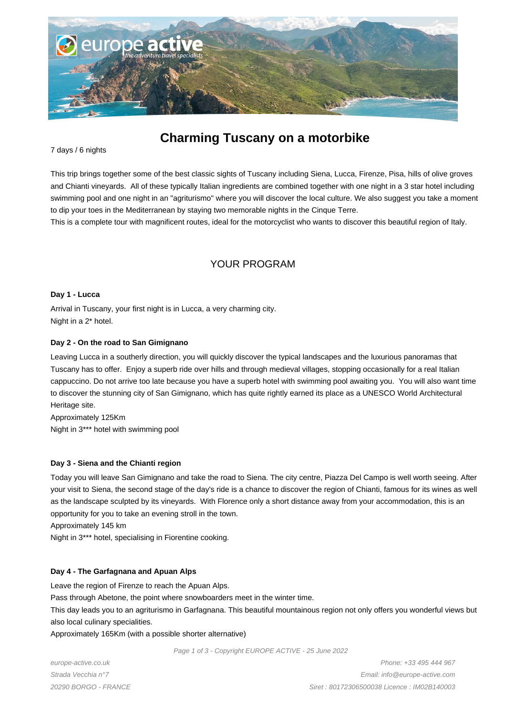

# **Charming Tuscany on a motorbike**

#### 7 days / 6 nights

This trip brings together some of the best classic sights of Tuscany including Siena, Lucca, Firenze, Pisa, hills of olive groves and Chianti vineyards. All of these typically Italian ingredients are combined together with one night in a 3 star hotel including swimming pool and one night in an "agriturismo" where you will discover the local culture. We also suggest you take a moment to dip your toes in the Mediterranean by staying two memorable nights in the Cinque Terre.

This is a complete tour with magnificent routes, ideal for the motorcyclist who wants to discover this beautiful region of Italy.

## YOUR PROGRAM

#### **Day 1 - Lucca**

Arrival in Tuscany, your first night is in Lucca, a very charming city. Night in a 2\* hotel.

#### **Day 2 - On the road to San Gimignano**

Leaving Lucca in a southerly direction, you will quickly discover the typical landscapes and the luxurious panoramas that Tuscany has to offer. Enjoy a superb ride over hills and through medieval villages, stopping occasionally for a real Italian cappuccino. Do not arrive too late because you have a superb hotel with swimming pool awaiting you. You will also want time to discover the stunning city of San Gimignano, which has quite rightly earned its place as a UNESCO World Architectural Heritage site.

Approximately 125Km Night in 3\*\*\* hotel with swimming pool

#### **Day 3 - Siena and the Chianti region**

Today you will leave San Gimignano and take the road to Siena. The city centre, Piazza Del Campo is well worth seeing. After your visit to Siena, the second stage of the day's ride is a chance to discover the region of Chianti, famous for its wines as well as the landscape sculpted by its vineyards. With Florence only a short distance away from your accommodation, this is an opportunity for you to take an evening stroll in the town.

Approximately 145 km

Night in 3\*\*\* hotel, specialising in Fiorentine cooking.

#### **Day 4 - The Garfagnana and Apuan Alps**

Leave the region of Firenze to reach the Apuan Alps.

Pass through Abetone, the point where snowboarders meet in the winter time.

This day leads you to an agriturismo in Garfagnana. This beautiful mountainous region not only offers you wonderful views but also local culinary specialities.

Approximately 165Km (with a possible shorter alternative)

Page 1 of 3 - Copyright EUROPE ACTIVE - 25 June 2022

europe-active.co.uk Strada Vecchia n°7 20290 BORGO - FRANCE

Phone: +33 495 444 967 Email: info@europe-active.com Siret : 80172306500038 Licence : IM02B140003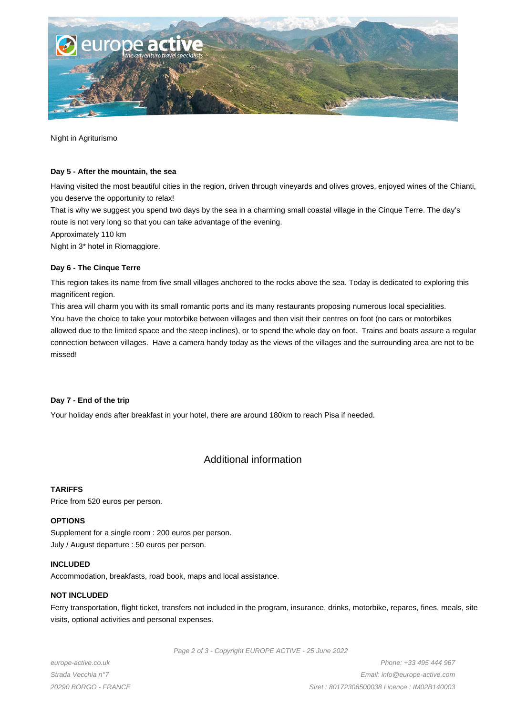

Night in Agriturismo

#### **Day 5 - After the mountain, the sea**

Having visited the most beautiful cities in the region, driven through vineyards and olives groves, enjoyed wines of the Chianti, you deserve the opportunity to relax!

That is why we suggest you spend two days by the sea in a charming small coastal village in the Cinque Terre. The day's route is not very long so that you can take advantage of the evening.

Approximately 110 km

Night in 3\* hotel in Riomaggiore.

#### **Day 6 - The Cinque Terre**

This region takes its name from five small villages anchored to the rocks above the sea. Today is dedicated to exploring this magnificent region.

This area will charm you with its small romantic ports and its many restaurants proposing numerous local specialities.

You have the choice to take your motorbike between villages and then visit their centres on foot (no cars or motorbikes allowed due to the limited space and the steep inclines), or to spend the whole day on foot. Trains and boats assure a regular connection between villages. Have a camera handy today as the views of the villages and the surrounding area are not to be missed!

#### **Day 7 - End of the trip**

Your holiday ends after breakfast in your hotel, there are around 180km to reach Pisa if needed.

## Additional information

#### **TARIFFS**

Price from 520 euros per person.

#### **OPTIONS**

Supplement for a single room : 200 euros per person. July / August departure : 50 euros per person.

#### **INCLUDED**

Accommodation, breakfasts, road book, maps and local assistance.

#### **NOT INCLUDED**

Ferry transportation, flight ticket, transfers not included in the program, insurance, drinks, motorbike, repares, fines, meals, site visits, optional activities and personal expenses.

Page 2 of 3 - Copyright EUROPE ACTIVE - 25 June 2022

europe-active.co.uk Strada Vecchia n°7 20290 BORGO - FRANCE

Phone: +33 495 444 967 Email: info@europe-active.com Siret : 80172306500038 Licence : IM02B140003